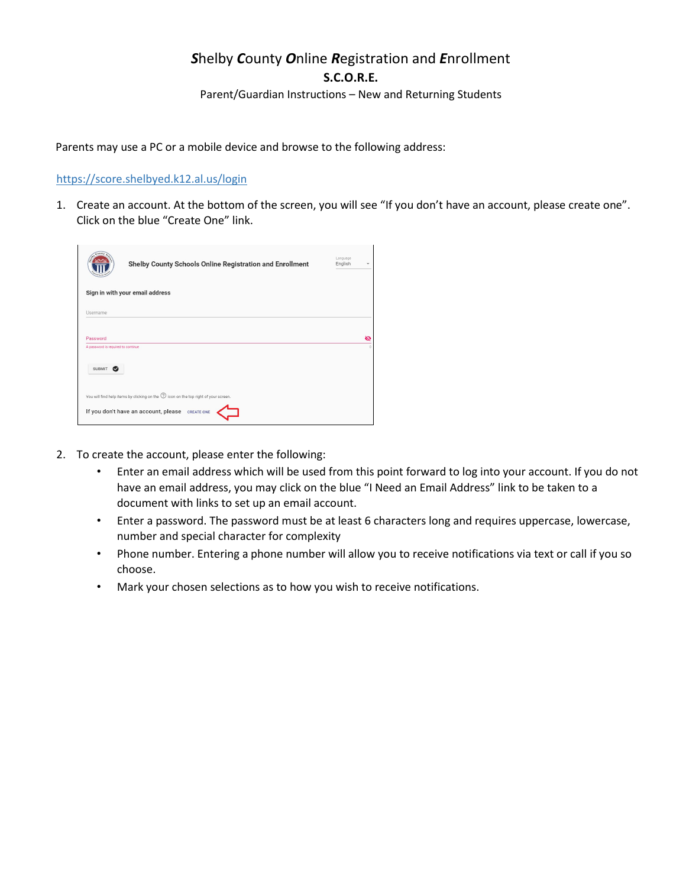## *S*helby *C*ounty *O*nline *R*egistration and *E*nrollment **S.C.O.R.E.**

Parent/Guardian Instructions – New and Returning Students

Parents may use a PC or a mobile device and browse to the following address:

## https://score.shelbyed.k12.al.us/login

1. Create an account. At the bottom of the screen, you will see "If you don't have an account, please create one". Click on the blue "Create One" link.

| <b>County</b><br>Shelby County Schools Online Registration and Enrollment                      | Language<br>English |   |
|------------------------------------------------------------------------------------------------|---------------------|---|
| Sign in with your email address                                                                |                     |   |
| Username                                                                                       |                     |   |
| Password                                                                                       |                     | জ |
| A password is required to continue                                                             |                     |   |
| SUBMIT<br>$\bullet$                                                                            |                     |   |
| You will find help items by clicking on the $\mathcal D$ icon on the top right of your screen. |                     |   |
| If you don't have an account, please CREATE ONE                                                |                     |   |

- 2. To create the account, please enter the following:
	- Enter an email address which will be used from this point forward to log into your account. If you do not have an email address, you may click on the blue "I Need an Email Address" link to be taken to a document with links to set up an email account.
	- Enter a password. The password must be at least 6 characters long and requires uppercase, lowercase, number and special character for complexity
	- Phone number. Entering a phone number will allow you to receive notifications via text or call if you so choose.
	- Mark your chosen selections as to how you wish to receive notifications.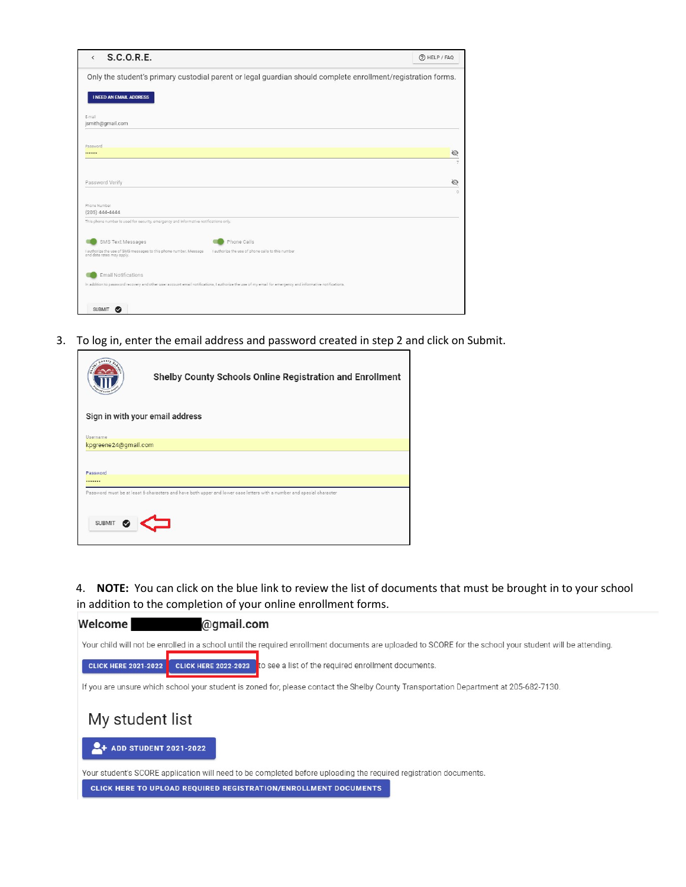| S.C.O.R.E.<br>$\left\langle \right\rangle$                                                     |                                                                                                                                                           | (?) HELP / FAQ |
|------------------------------------------------------------------------------------------------|-----------------------------------------------------------------------------------------------------------------------------------------------------------|----------------|
|                                                                                                | Only the student's primary custodial parent or legal guardian should complete enrollment/registration forms.                                              |                |
| <b>I NEED AN EMAIL ADDRESS</b>                                                                 |                                                                                                                                                           |                |
| E-mail                                                                                         |                                                                                                                                                           |                |
| jsmith@qmail.com                                                                               |                                                                                                                                                           |                |
|                                                                                                |                                                                                                                                                           |                |
| Password                                                                                       |                                                                                                                                                           |                |
|                                                                                                |                                                                                                                                                           | Ø              |
|                                                                                                |                                                                                                                                                           | $\overline{z}$ |
|                                                                                                |                                                                                                                                                           |                |
|                                                                                                |                                                                                                                                                           |                |
| Password Verify                                                                                |                                                                                                                                                           | Ø              |
|                                                                                                |                                                                                                                                                           | $\Omega$       |
| Phone Number                                                                                   |                                                                                                                                                           |                |
| $(205)$ 444-4444                                                                               |                                                                                                                                                           |                |
| This phone number is used for security, emergency and informative notifications only.          |                                                                                                                                                           |                |
|                                                                                                |                                                                                                                                                           |                |
|                                                                                                | Phone Calls                                                                                                                                               |                |
| SMS Text Messages                                                                              |                                                                                                                                                           |                |
| I authorize the use of SMS messages to this phone number. Message<br>and data rates may apply. | I authorize the use of phone calls to this number                                                                                                         |                |
|                                                                                                |                                                                                                                                                           |                |
| <b>Email Notifications</b>                                                                     |                                                                                                                                                           |                |
|                                                                                                |                                                                                                                                                           |                |
|                                                                                                | In addition to password recovery and other user account email notifications, I authorize the use of my email for emergency and informative notifications. |                |
|                                                                                                |                                                                                                                                                           |                |
| <b>SUBMIT</b><br>◎                                                                             |                                                                                                                                                           |                |
|                                                                                                |                                                                                                                                                           |                |

3. To log in, enter the email address and password created in step 2 and click on Submit.

|                      | Shelby County Schools Online Registration and Enrollment                                                              |
|----------------------|-----------------------------------------------------------------------------------------------------------------------|
|                      | Sign in with your email address                                                                                       |
| Username             |                                                                                                                       |
| kpgreene24@gmail.com |                                                                                                                       |
| Password<br>         |                                                                                                                       |
| <b>SUBMIT</b>        | Password must be at least 6 characters and have both upper and lower case letters with a number and special character |

4. **NOTE:** You can click on the blue link to review the list of documents that must be brought in to your school in addition to the completion of your online enrollment forms.

٦

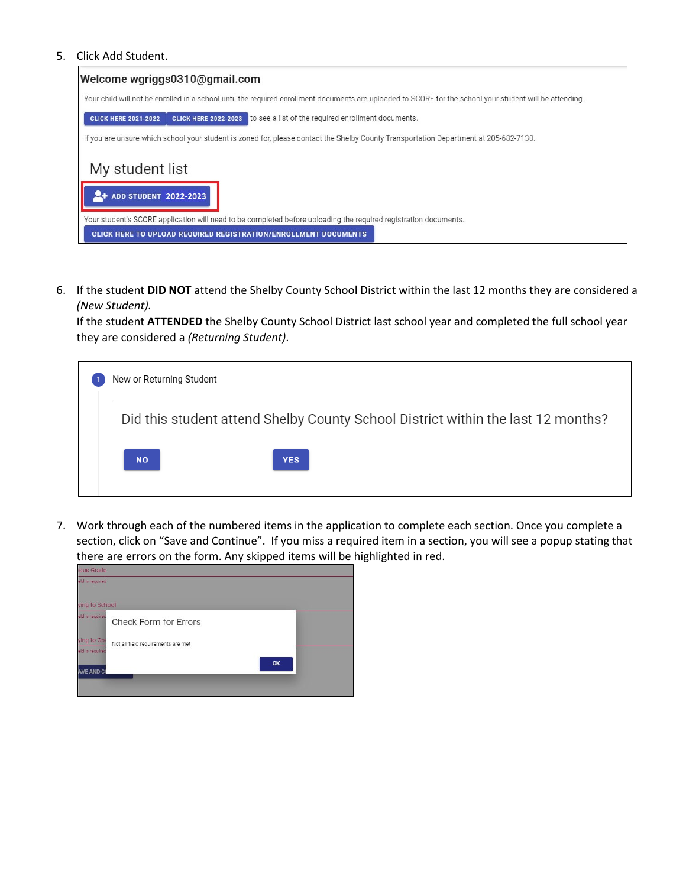## 5. Click Add Student.



6. If the student **DID NOT** attend the Shelby County School District within the last 12 months they are considered a *(New Student).*

If the student **ATTENDED** the Shelby County School District last school year and completed the full school year they are considered a *(Returning Student)*.

| New or Returning Student                                                         |
|----------------------------------------------------------------------------------|
| Did this student attend Shelby County School District within the last 12 months? |
| <b>NO</b><br><b>YES</b>                                                          |

7. Work through each of the numbered items in the application to complete each section. Once you complete a section, click on "Save and Continue". If you miss a required item in a section, you will see a popup stating that there are errors on the form. Any skipped items will be highlighted in red.

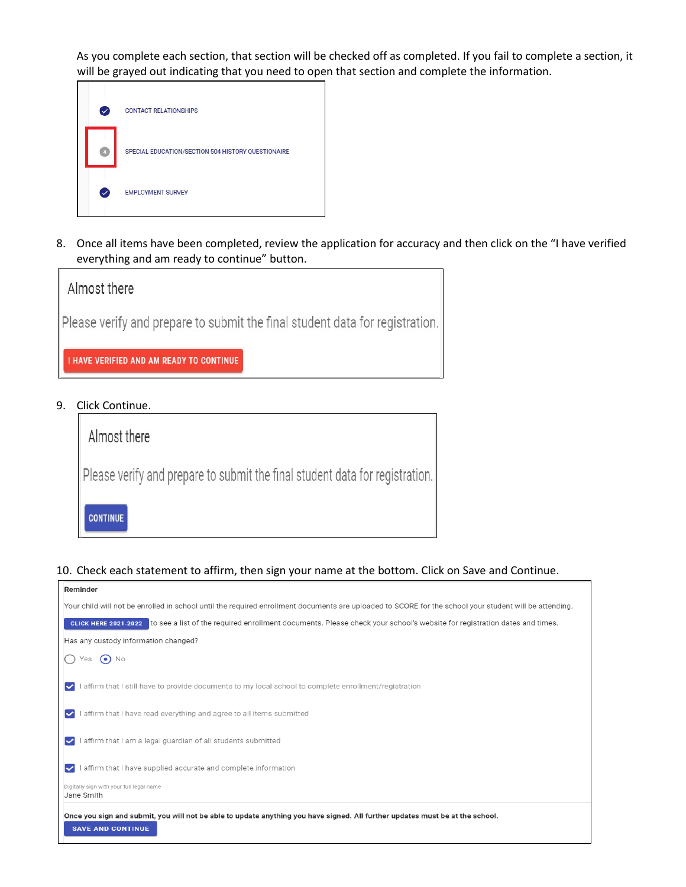As you complete each section, that section will be checked off as completed. If you fail to complete a section, it will be grayed out indicating that you need to open that section and complete the information.



8. Once all items have been completed, review the application for accuracy and then click on the "I have verified everything and am ready to continue" button.



9. Click Continue.

| Almost there                                                                 |  |
|------------------------------------------------------------------------------|--|
| Please verify and prepare to submit the final student data for registration. |  |
| <b>CONTINUE</b>                                                              |  |

## 10. Check each statement to affirm, then sign your name at the bottom. Click on Save and Continue.

| Reminder                                                                                                                                                |
|---------------------------------------------------------------------------------------------------------------------------------------------------------|
| Your child will not be enrolled in school until the required enrollment documents are uploaded to SCORE for the school your student will be attending.  |
| to see a list of the required enrollment documents. Please check your school's website for registration dates and times.<br><b>CLICK HERE 2021-2022</b> |
| Has any custody information changed?                                                                                                                    |
| $\odot$ No<br>Yes                                                                                                                                       |
| I affirm that I still have to provide documents to my local school to complete enrollment/registration<br>V                                             |
| affirm that I have read everything and agree to all items submitted<br>◡                                                                                |
| I affirm that I am a legal guardian of all students submitted<br>V                                                                                      |
| I affirm that I have supplied accurate and complete information<br>V                                                                                    |
| Digitally sign with your full legal name<br>Jane Smith                                                                                                  |
| Once you sign and submit, you will not be able to update anything you have signed. All further updates must be at the school.                           |
| <b>SAVE AND CONTINUE</b>                                                                                                                                |